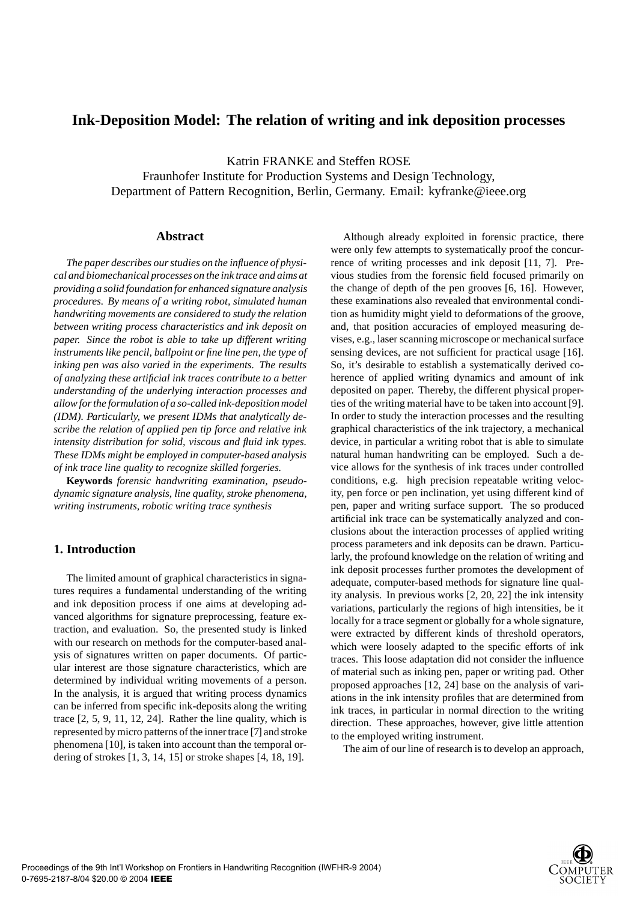# **Ink-Deposition Model: The relation of writing and ink deposition processes**

Katrin FRANKE and Steffen ROSE Fraunhofer Institute for Production Systems and Design Technology, Department of Pattern Recognition, Berlin, Germany. Email: kyfranke@ieee.org

### **Abstract**

*The paper describes our studies on the influence of physical and biomechanical processes on the ink trace and aims at providing a solid foundation for enhanced signature analysis procedures. By means of a writing robot, simulated human handwriting movements are considered to study the relation between writing process characteristics and ink deposit on paper. Since the robot is able to take up different writing instruments like pencil, ballpoint or fine line pen, the type of inking pen was also varied in the experiments. The results of analyzing these artificial ink traces contribute to a better understanding of the underlying interaction processes and allow for the formulation of a so-called ink-deposition model (IDM). Particularly, we present IDMs that analytically describe the relation of applied pen tip force and relative ink intensity distribution for solid, viscous and fluid ink types. These IDMs might be employed in computer-based analysis of ink trace line quality to recognize skilled forgeries.*

**Keywords** *forensic handwriting examination, pseudodynamic signature analysis, line quality, stroke phenomena, writing instruments, robotic writing trace synthesis*

# **1. Introduction**

The limited amount of graphical characteristics in signatures requires a fundamental understanding of the writing and ink deposition process if one aims at developing advanced algorithms for signature preprocessing, feature extraction, and evaluation. So, the presented study is linked with our research on methods for the computer-based analysis of signatures written on paper documents. Of particular interest are those signature characteristics, which are determined by individual writing movements of a person. In the analysis, it is argued that writing process dynamics can be inferred from specific ink-deposits along the writing trace [2, 5, 9, 11, 12, 24]. Rather the line quality, which is represented by micro patterns of the inner trace [7] and stroke phenomena [10], is taken into account than the temporal ordering of strokes [1, 3, 14, 15] or stroke shapes [4, 18, 19].

Although already exploited in forensic practice, there were only few attempts to systematically proof the concurrence of writing processes and ink deposit [11, 7]. Previous studies from the forensic field focused primarily on the change of depth of the pen grooves [6, 16]. However, these examinations also revealed that environmental condition as humidity might yield to deformations of the groove, and, that position accuracies of employed measuring devises, e.g., laser scanning microscope or mechanical surface sensing devices, are not sufficient for practical usage [16]. So, it's desirable to establish a systematically derived coherence of applied writing dynamics and amount of ink deposited on paper. Thereby, the different physical properties of the writing material have to be taken into account [9]. In order to study the interaction processes and the resulting graphical characteristics of the ink trajectory, a mechanical device, in particular a writing robot that is able to simulate natural human handwriting can be employed. Such a device allows for the synthesis of ink traces under controlled conditions, e.g. high precision repeatable writing velocity, pen force or pen inclination, yet using different kind of pen, paper and writing surface support. The so produced artificial ink trace can be systematically analyzed and conclusions about the interaction processes of applied writing process parameters and ink deposits can be drawn. Particularly, the profound knowledge on the relation of writing and ink deposit processes further promotes the development of adequate, computer-based methods for signature line quality analysis. In previous works [2, 20, 22] the ink intensity variations, particularly the regions of high intensities, be it locally for a trace segment or globally for a whole signature, were extracted by different kinds of threshold operators, which were loosely adapted to the specific efforts of ink traces. This loose adaptation did not consider the influence of material such as inking pen, paper or writing pad. Other proposed approaches [12, 24] base on the analysis of variations in the ink intensity profiles that are determined from ink traces, in particular in normal direction to the writing direction. These approaches, however, give little attention to the employed writing instrument.

The aim of our line of research is to develop an approach,

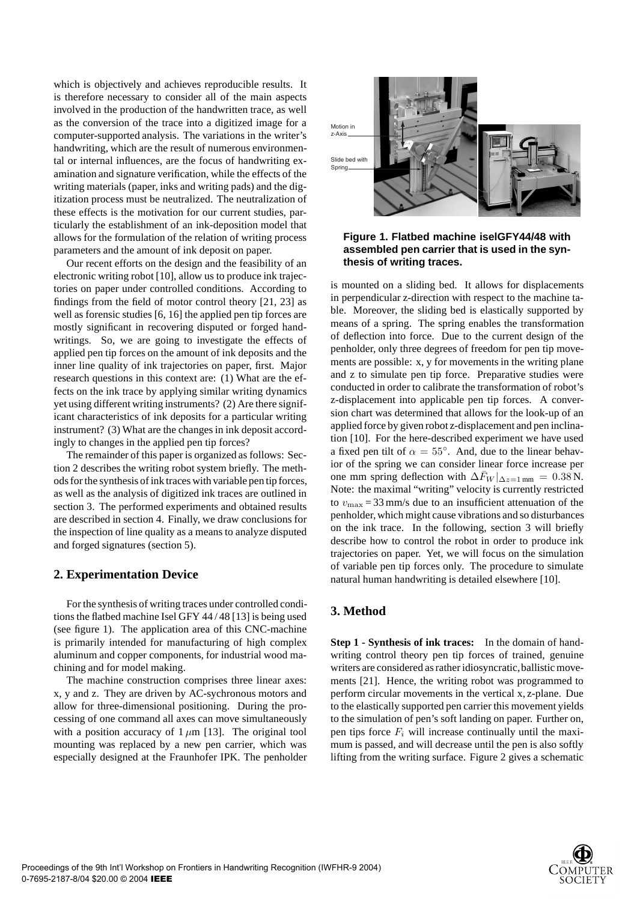which is objectively and achieves reproducible results. It is therefore necessary to consider all of the main aspects involved in the production of the handwritten trace, as well as the conversion of the trace into a digitized image for a computer-supported analysis. The variations in the writer's handwriting, which are the result of numerous environmental or internal influences, are the focus of handwriting examination and signature verification, while the effects of the writing materials (paper, inks and writing pads) and the digitization process must be neutralized. The neutralization of these effects is the motivation for our current studies, particularly the establishment of an ink-deposition model that allows for the formulation of the relation of writing process parameters and the amount of ink deposit on paper.

Our recent efforts on the design and the feasibility of an electronic writing robot [10], allow us to produce ink trajectories on paper under controlled conditions. According to findings from the field of motor control theory [21, 23] as well as forensic studies [6, 16] the applied pen tip forces are mostly significant in recovering disputed or forged handwritings. So, we are going to investigate the effects of applied pen tip forces on the amount of ink deposits and the inner line quality of ink trajectories on paper, first. Major research questions in this context are: (1) What are the effects on the ink trace by applying similar writing dynamics yet using different writing instruments? (2) Are there significant characteristics of ink deposits for a particular writing instrument? (3) What are the changes in ink deposit accordingly to changes in the applied pen tip forces?

The remainder of this paper is organized as follows: Section 2 describes the writing robot system briefly. The methods for the synthesis of ink traces with variable pen tip forces, as well as the analysis of digitized ink traces are outlined in section 3. The performed experiments and obtained results are described in section 4. Finally, we draw conclusions for the inspection of line quality as a means to analyze disputed and forged signatures (section 5).

### **2. Experimentation Device**

For the synthesis of writing traces under controlled conditions the flatbed machine Isel GFY 44 / 48 [13] is being used (see figure 1). The application area of this CNC-machine is primarily intended for manufacturing of high complex aluminum and copper components, for industrial wood machining and for model making.

The machine construction comprises three linear axes: x, y and z. They are driven by AC-sychronous motors and allow for three-dimensional positioning. During the processing of one command all axes can move simultaneously with a position accuracy of  $1 \mu m$  [13]. The original tool mounting was replaced by a new pen carrier, which was especially designed at the Fraunhofer IPK. The penholder



**Figure 1. Flatbed machine iselGFY44/48 with assembled pen carrier that is used in the synthesis of writing traces.**

is mounted on a sliding bed. It allows for displacements in perpendicular z-direction with respect to the machine table. Moreover, the sliding bed is elastically supported by means of a spring. The spring enables the transformation of deflection into force. Due to the current design of the penholder, only three degrees of freedom for pen tip movements are possible: x, y for movements in the writing plane and z to simulate pen tip force. Preparative studies were conducted in order to calibrate the transformation of robot's z-displacement into applicable pen tip forces. A conversion chart was determined that allows for the look-up of an applied force by given robot z-displacement and pen inclination [10]. For the here-described experiment we have used a fixed pen tilt of  $\alpha = 55^{\circ}$ . And, due to the linear behavior of the spring we can consider linear force increase per one mm spring deflection with  $\Delta F_W |_{\Delta z=1 \text{ mm}} = 0.38 \text{ N}.$ Note: the maximal "writing" velocity is currently restricted to  $v_{\text{max}} = 33$  mm/s due to an insufficient attenuation of the penholder, which might cause vibrations and so disturbances on the ink trace. In the following, section 3 will briefly describe how to control the robot in order to produce ink trajectories on paper. Yet, we will focus on the simulation of variable pen tip forces only. The procedure to simulate natural human handwriting is detailed elsewhere [10].

# **3. Method**

**Step 1 - Synthesis of ink traces:** In the domain of handwriting control theory pen tip forces of trained, genuine writers are considered as rather idiosyncratic, ballistic movements [21]. Hence, the writing robot was programmed to perform circular movements in the vertical x, z-plane. Due to the elastically supported pen carrier this movement yields to the simulation of pen's soft landing on paper. Further on, pen tips force  $F_i$  will increase continually until the maximum is passed, and will decrease until the pen is also softly lifting from the writing surface. Figure 2 gives a schematic

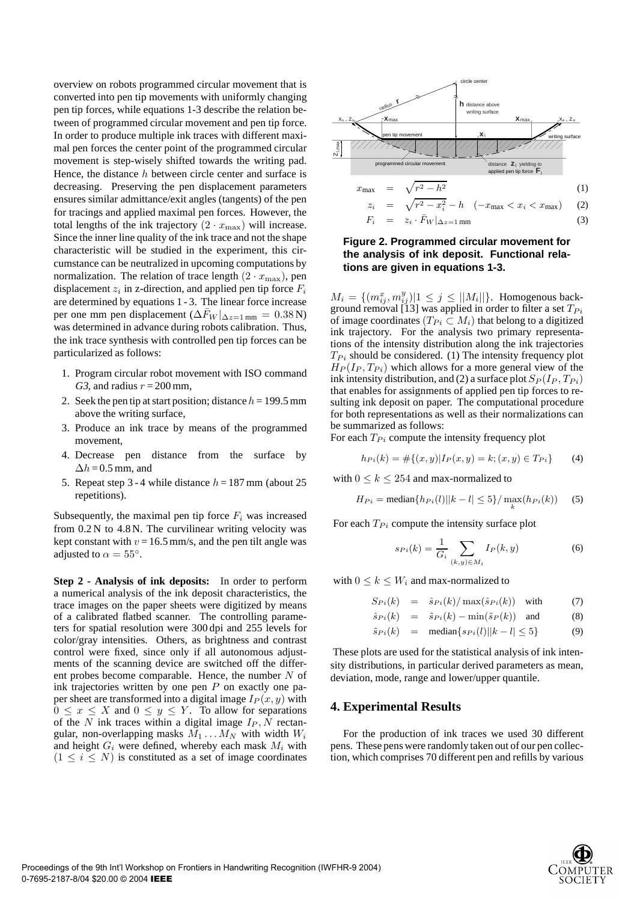overview on robots programmed circular movement that is converted into pen tip movements with uniformly changing pen tip forces, while equations 1-3 describe the relation between of programmed circular movement and pen tip force. In order to produce multiple ink traces with different maximal pen forces the center point of the programmed circular movement is step-wisely shifted towards the writing pad. Hence, the distance  $h$  between circle center and surface is decreasing. Preserving the pen displacement parameters ensures similar admittance/exit angles (tangents) of the pen for tracings and applied maximal pen forces. However, the total lengths of the ink trajectory  $(2 \cdot x_{\text{max}})$  will increase. Since the inner line quality of the ink trace and not the shape characteristic will be studied in the experiment, this circumstance can be neutralized in upcoming computations by normalization. The relation of trace length  $(2 \cdot x_{\text{max}})$ , pen displacement  $z_i$  in z-direction, and applied pen tip force  $F_i$ are determined by equations 1 - 3. The linear force increase per one mm pen displacement ( $\Delta F_W |_{\Delta z=1 \text{ mm}} = 0.38 \text{ N}$ ) was determined in advance during robots calibration. Thus, the ink trace synthesis with controlled pen tip forces can be particularized as follows:

- 1. Program circular robot movement with ISO command G3, and radius  $r = 200$  mm,
- 2. Seek the pen tip at start position; distance  $h = 199.5$  mm above the writing surface,
- 3. Produce an ink trace by means of the programmed movement,
- 4. Decrease pen distance from the surface by  $\Delta h = 0.5$  mm, and
- 5. Repeat step 3 4 while distance  $h = 187$  mm (about 25) repetitions).

Subsequently, the maximal pen tip force  $F_i$  was increased from 0.2 N to 4.8 N. The curvilinear writing velocity was kept constant with  $v = 16.5$  mm/s, and the pen tilt angle was adjusted to  $\alpha = 55^\circ$ .

**Step 2 - Analysis of ink deposits:** In order to perform a numerical analysis of the ink deposit characteristics, the trace images on the paper sheets were digitized by means of a calibrated flatbed scanner. The controlling parameters for spatial resolution were 300 dpi and 255 levels for color/gray intensities. Others, as brightness and contrast control were fixed, since only if all autonomous adjustments of the scanning device are switched off the different probes become comparable. Hence, the number  $N$  of ink trajectories written by one pen  $P$  on exactly one paper sheet are transformed into a digital image  $I_P(x, y)$  with  $0 \leq x \leq X$  and  $0 \leq y \leq Y$ . To allow for separations of the N ink traces within a digital image  $I_P$ , N rectangular, non-overlapping masks  $M_1 \dots M_N$  with width  $W_i$ and height  $G_i$  were defined, whereby each mask  $M_i$  with  $(1 \leq i \leq N)$  is constituted as a set of image coordinates



$$
z_i = \sqrt{r^2 - x_i^2 - n} \quad (-x_{\text{max}} < x_i < x_{\text{max}}) \tag{2}
$$
\n
$$
F_i = z_i \cdot \bar{F}_W |_{\Delta z = 1 \text{ mm}} \tag{3}
$$

### **Figure 2. Programmed circular movement for the analysis of ink deposit. Functional relations are given in equations 1-3.**

 $M_i = \{ (m_{ij}^x, m_{ij}^y) | 1 \le j \le ||M_i|| \}$ . Homogenous background removal [13] was applied in order to filter a set  $T_{Pi}$ of image coordinates ( $T_{Pi} \subset M_i$ ) that belong to a digitized ink trajectory. For the analysis two primary representations of the intensity distribution along the ink trajectories  $T_{Pi}$  should be considered. (1) The intensity frequency plot  $H_P(I_P, T_{P_i})$  which allows for a more general view of the ink intensity distribution, and (2) a surface plot  $S_P(I_P, T_{P_i})$ that enables for assignments of applied pen tip forces to resulting ink deposit on paper. The computational procedure for both representations as well as their normalizations can be summarized as follows:

For each  $T_{Pi}$  compute the intensity frequency plot

$$
h_{P_i}(k) = \# \{(x, y) | I_P(x, y) = k; (x, y) \in T_{P_i}\}\tag{4}
$$

with  $0 \leq k \leq 254$  and max-normalized to

$$
H_{Pi} = \text{median}\{h_{Pi}(l)||k - l| \le 5\} / \max_{k} (h_{Pi}(k)) \quad (5)
$$

For each  $T_{Pi}$  compute the intensity surface plot

$$
s_{Pi}(k) = \frac{1}{G_i} \sum_{(k,y) \in M_i} I_P(k,y) \tag{6}
$$

with  $0 \leq k \leq W_i$  and max-normalized to

$$
S_{Pi}(k) = \hat{s}_{Pi}(k) / \max(\hat{s}_{Pi}(k)) \text{ with } (7)
$$

$$
\hat{s}_{Pi}(k) = \tilde{s}_{Pi}(k) - \min(\tilde{s}_P(k)) \text{ and } (8)
$$

 $\tilde{s}_{Pi}(k)$  = median $\{s_{Pi}(l)||k - l| \leq 5\}$  (9)

These plots are used for the statistical analysis of ink intensity distributions, in particular derived parameters as mean, deviation, mode, range and lower/upper quantile.

### **4. Experimental Results**

For the production of ink traces we used 30 different pens. These pens were randomly taken out of our pen collection, which comprises 70 different pen and refills by various

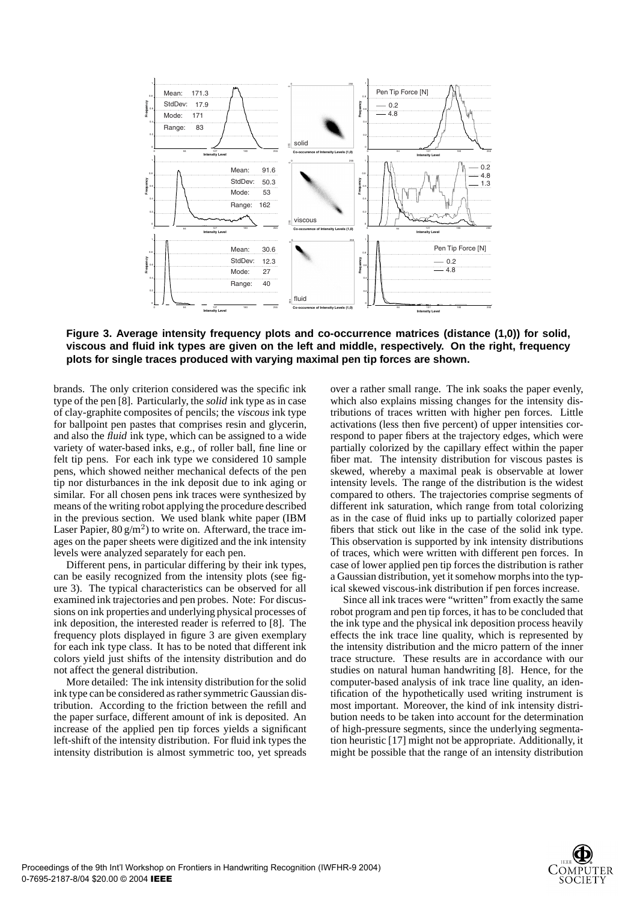

**Figure 3. Average intensity frequency plots and co-occurrence matrices (distance (1,0)) for solid, viscous and fluid ink types are given on the left and middle, respectively. On the right, frequency plots for single traces produced with varying maximal pen tip forces are shown.**

brands. The only criterion considered was the specific ink type of the pen [8]. Particularly, the solid ink type as in case of clay-graphite composites of pencils; the viscous ink type for ballpoint pen pastes that comprises resin and glycerin, and also the fluid ink type, which can be assigned to a wide variety of water-based inks, e.g., of roller ball, fine line or felt tip pens. For each ink type we considered 10 sample pens, which showed neither mechanical defects of the pen tip nor disturbances in the ink deposit due to ink aging or similar. For all chosen pens ink traces were synthesized by means of the writing robot applying the procedure described in the previous section. We used blank white paper (IBM Laser Papier,  $80 \text{ g/m}^2$ ) to write on. Afterward, the trace images on the paper sheets were digitized and the ink intensity levels were analyzed separately for each pen.

Different pens, in particular differing by their ink types, can be easily recognized from the intensity plots (see figure 3). The typical characteristics can be observed for all examined ink trajectories and pen probes. Note: For discussions on ink properties and underlying physical processes of ink deposition, the interested reader is referred to [8]. The frequency plots displayed in figure 3 are given exemplary for each ink type class. It has to be noted that different ink colors yield just shifts of the intensity distribution and do not affect the general distribution.

More detailed: The ink intensity distribution for the solid ink type can be considered as rather symmetric Gaussian distribution. According to the friction between the refill and the paper surface, different amount of ink is deposited. An increase of the applied pen tip forces yields a significant left-shift of the intensity distribution. For fluid ink types the intensity distribution is almost symmetric too, yet spreads

over a rather small range. The ink soaks the paper evenly, which also explains missing changes for the intensity distributions of traces written with higher pen forces. Little activations (less then five percent) of upper intensities correspond to paper fibers at the trajectory edges, which were partially colorized by the capillary effect within the paper fiber mat. The intensity distribution for viscous pastes is skewed, whereby a maximal peak is observable at lower intensity levels. The range of the distribution is the widest compared to others. The trajectories comprise segments of different ink saturation, which range from total colorizing as in the case of fluid inks up to partially colorized paper fibers that stick out like in the case of the solid ink type. This observation is supported by ink intensity distributions of traces, which were written with different pen forces. In case of lower applied pen tip forces the distribution is rather a Gaussian distribution, yet it somehow morphs into the typical skewed viscous-ink distribution if pen forces increase.

Since all ink traces were "written" from exactly the same robot program and pen tip forces, it has to be concluded that the ink type and the physical ink deposition process heavily effects the ink trace line quality, which is represented by the intensity distribution and the micro pattern of the inner trace structure. These results are in accordance with our studies on natural human handwriting [8]. Hence, for the computer-based analysis of ink trace line quality, an identification of the hypothetically used writing instrument is most important. Moreover, the kind of ink intensity distribution needs to be taken into account for the determination of high-pressure segments, since the underlying segmentation heuristic [17] might not be appropriate. Additionally, it might be possible that the range of an intensity distribution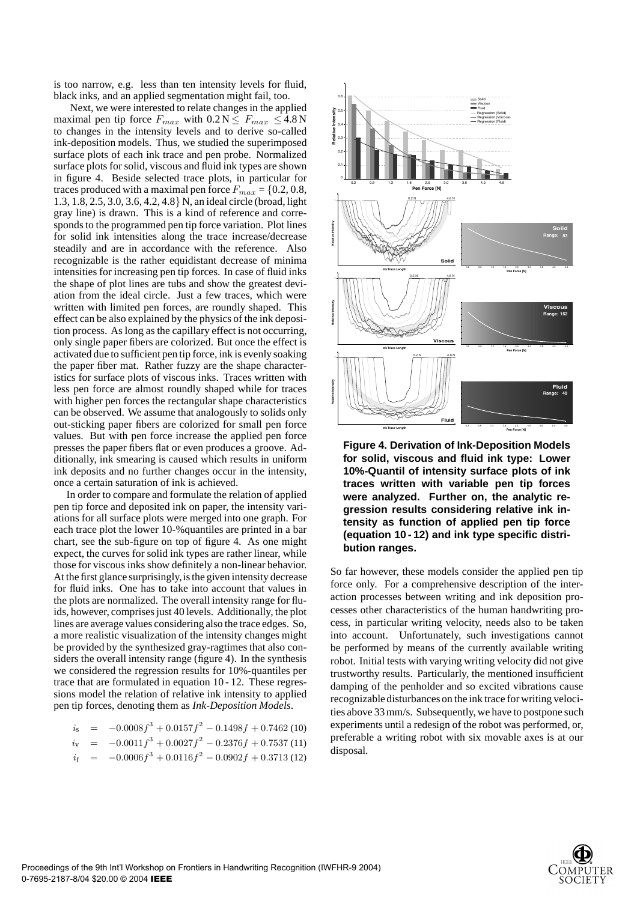is too narrow, e.g. less than ten intensity levels for fluid, black inks, and an applied segmentation might fail, too.

Next, we were interested to relate changes in the applied maximal pen tip force  $F_{max}$  with  $0.2 N \le F_{max} \le 4.8 N$ to changes in the intensity levels and to derive so-called ink-deposition models. Thus, we studied the superimposed surface plots of each ink trace and pen probe. Normalized surface plots for solid, viscous and fluid ink types are shown in figure 4. Beside selected trace plots, in particular for traces produced with a maximal pen force  $F_{max} = \{0.2, 0.8,$ 1.3, 1.8, 2.5, 3.0, 3.6, 4.2, 4.8} N, an ideal circle (broad, light gray line) is drawn. This is a kind of reference and corresponds to the programmed pen tip force variation. Plot lines for solid ink intensities along the trace increase/decrease steadily and are in accordance with the reference. Also recognizable is the rather equidistant decrease of minima intensities for increasing pen tip forces. In case of fluid inks the shape of plot lines are tubs and show the greatest deviation from the ideal circle. Just a few traces, which were written with limited pen forces, are roundly shaped. This effect can be also explained by the physics of the ink deposition process. As long as the capillary effect is not occurring, only single paper fibers are colorized. But once the effect is activated due to sufficient pen tip force, ink is evenly soaking the paper fiber mat. Rather fuzzy are the shape characteristics for surface plots of viscous inks. Traces written with less pen force are almost roundly shaped while for traces with higher pen forces the rectangular shape characteristics can be observed. We assume that analogously to solids only out-sticking paper fibers are colorized for small pen force values. But with pen force increase the applied pen force presses the paper fibers flat or even produces a groove. Additionally, ink smearing is caused which results in uniform ink deposits and no further changes occur in the intensity, once a certain saturation of ink is achieved.

In order to compare and formulate the relation of applied pen tip force and deposited ink on paper, the intensity variations for all surface plots were merged into one graph. For each trace plot the lower 10-%quantiles are printed in a bar chart, see the sub-figure on top of figure 4. As one might expect, the curves for solid ink types are rather linear, while those for viscous inks show definitely a non-linear behavior. At the first glance surprisingly,is the given intensity decrease for fluid inks. One has to take into account that values in the plots are normalized. The overall intensity range for fluids, however, comprises just 40 levels. Additionally, the plot lines are average values considering also the trace edges. So, a more realistic visualization of the intensity changes might be provided by the synthesized gray-ragtimes that also considers the overall intensity range (figure 4). In the synthesis we considered the regression results for 10%-quantiles per trace that are formulated in equation 10 - 12. These regressions model the relation of relative ink intensity to applied pen tip forces, denoting them as *Ink-Deposition Models*.

|  | $i_s = -0.0008f^3 + 0.0157f^2 - 0.1498f + 0.7462$ (10)   |
|--|----------------------------------------------------------|
|  | $i_v = -0.0011f^3 + 0.0027f^2 - 0.2376f + 0.7537(11)$    |
|  | $i_f$ = $-0.0006f^3 + 0.0116f^2 - 0.0902f + 0.3713$ (12) |



**Figure 4. Derivation of Ink-Deposition Models for solid, viscous and fluid ink type: Lower 10%-Quantil of intensity surface plots of ink traces written with variable pen tip forces were analyzed. Further on, the analytic regression results considering relative ink intensity as function of applied pen tip force (equation 10 - 12) and ink type specific distribution ranges.**

So far however, these models consider the applied pen tip force only. For a comprehensive description of the interaction processes between writing and ink deposition processes other characteristics of the human handwriting process, in particular writing velocity, needs also to be taken into account. Unfortunately, such investigations cannot be performed by means of the currently available writing robot. Initial tests with varying writing velocity did not give trustworthy results. Particularly, the mentioned insufficient damping of the penholder and so excited vibrations cause recognizable disturbances on the ink trace for writing velocities above 33 mm/s. Subsequently, we have to postpone such experiments until a redesign of the robot was performed, or, preferable a writing robot with six movable axes is at our disposal.